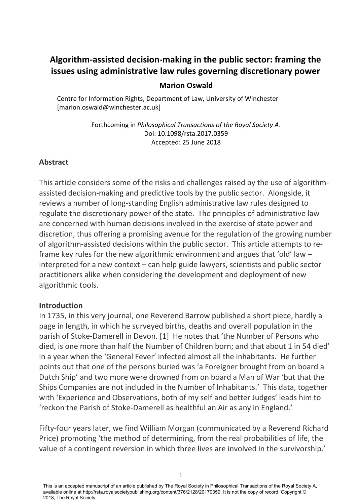# **Algorithm-assisted decision-making in the public sector: framing the issues using administrative law rules governing discretionary power**

## **Marion Oswald**

Centre for Information Rights, Department of Law, University of Winchester [marion.oswald@winchester.ac.uk]

> Forthcoming in *Philosophical Transactions of the Royal Society A*. Doi: 10.1098/rsta.2017.0359 Accepted: 25 June 2018

## **Abstract**

This article considers some of the risks and challenges raised by the use of algorithmassisted decision-making and predictive tools by the public sector. Alongside, it reviews a number of long-standing English administrative law rules designed to regulate the discretionary power of the state. The principles of administrative law are concerned with human decisions involved in the exercise of state power and discretion, thus offering a promising avenue for the regulation of the growing number of algorithm-assisted decisions within the public sector. This article attempts to reframe key rules for the new algorithmic environment and argues that 'old' law – interpreted for a new context – can help guide lawyers, scientists and public sector practitioners alike when considering the development and deployment of new algorithmic tools.

#### **Introduction**

In 1735, in this very journal, one Reverend Barrow published a short piece, hardly a page in length, in which he surveyed births, deaths and overall population in the parish of Stoke-Damerell in Devon. [1] He notes that 'the Number of Persons who died, is one more than half the Number of Children born; and that about 1 in 54 died' in a year when the 'General Fever' infected almost all the inhabitants. He further points out that one of the persons buried was 'a Foreigner brought from on board a Dutch Ship' and two more were drowned from on board a Man of War 'but that the Ships Companies are not included in the Number of Inhabitants.' This data, together with 'Experience and Observations, both of my self and better Judges' leads him to 'reckon the Parish of Stoke-Damerell as healthful an Air as any in England.'

Fifty-four years later, we find William Morgan (communicated by a Reverend Richard Price) promoting 'the method of determining, from the real probabilities of life, the value of a contingent reversion in which three lives are involved in the survivorship.'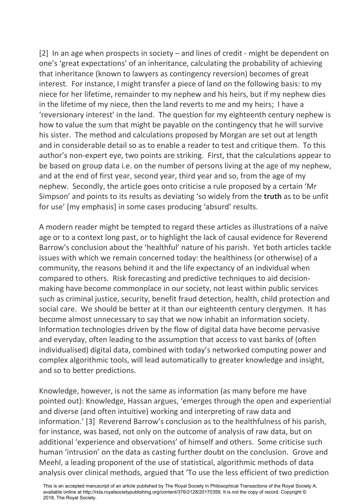[2] In an age when prospects in society – and lines of credit - might be dependent on one's 'great expectations' of an inheritance, calculating the probability of achieving that inheritance (known to lawyers as contingency reversion) becomes of great interest. For instance, I might transfer a piece of land on the following basis: to my niece for her lifetime, remainder to my nephew and his heirs, but if my nephew dies in the lifetime of my niece, then the land reverts to me and my heirs; I have a 'reversionary interest' in the land. The question for my eighteenth century nephew is how to value the sum that might be payable on the contingency that he will survive his sister. The method and calculations proposed by Morgan are set out at length and in considerable detail so as to enable a reader to test and critique them. To this author's non-expert eye, two points are striking. First, that the calculations appear to be based on group data i.e. on the number of persons living at the age of my nephew, and at the end of first year, second year, third year and so, from the age of my nephew. Secondly, the article goes onto criticise a rule proposed by a certain 'Mr Simpson' and points to its results as deviating 'so widely from the **truth** as to be unfit for use' [my emphasis] in some cases producing 'absurd' results.

A modern reader might be tempted to regard these articles as illustrations of a naïve age or to a context long past, or to highlight the lack of causal evidence for Reverend Barrow's conclusion about the 'healthful' nature of his parish. Yet both articles tackle issues with which we remain concerned today: the healthiness (or otherwise) of a community, the reasons behind it and the life expectancy of an individual when compared to others. Risk forecasting and predictive techniques to aid decisionmaking have become commonplace in our society, not least within public services such as criminal justice, security, benefit fraud detection, health, child protection and social care. We should be better at it than our eighteenth century clergymen. It has become almost unnecessary to say that we now inhabit an information society. Information technologies driven by the flow of digital data have become pervasive and everyday, often leading to the assumption that access to vast banks of (often individualised) digital data, combined with today's networked computing power and complex algorithmic tools, will lead automatically to greater knowledge and insight, and so to better predictions.

Knowledge, however, is not the same as information (as many before me have pointed out): Knowledge, Hassan argues, 'emerges through the open and experiential and diverse (and often intuitive) working and interpreting of raw data and information.' [3] Reverend Barrow's conclusion as to the healthfulness of his parish, for instance, was based, not only on the outcome of analysis of raw data, but on additional 'experience and observations' of himself and others. Some criticise such human 'intrusion' on the data as casting further doubt on the conclusion. Grove and Meehl, a leading proponent of the use of statistical, algorithmic methods of data analysis over clinical methods, argued that 'To use the less efficient of two prediction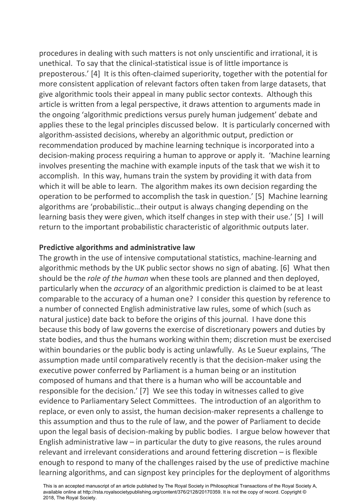procedures in dealing with such matters is not only unscientific and irrational, it is unethical. To say that the clinical-statistical issue is of little importance is preposterous.' [4] It is this often-claimed superiority, together with the potential for more consistent application of relevant factors often taken from large datasets, that give algorithmic tools their appeal in many public sector contexts. Although this article is written from a legal perspective, it draws attention to arguments made in the ongoing 'algorithmic predictions versus purely human judgement' debate and applies these to the legal principles discussed below. It is particularly concerned with algorithm-assisted decisions, whereby an algorithmic output, prediction or recommendation produced by machine learning technique is incorporated into a decision-making process requiring a human to approve or apply it. 'Machine learning involves presenting the machine with example inputs of the task that we wish it to accomplish. In this way, humans train the system by providing it with data from which it will be able to learn. The algorithm makes its own decision regarding the operation to be performed to accomplish the task in question.' [5] Machine learning algorithms are 'probabilistic…their output is always changing depending on the learning basis they were given, which itself changes in step with their use.' [5] I will return to the important probabilistic characteristic of algorithmic outputs later.

#### **Predictive algorithms and administrative law**

The growth in the use of intensive computational statistics, machine-learning and algorithmic methods by the UK public sector shows no sign of abating. [6] What then should be the *role of the human* when these tools are planned and then deployed, particularly when the *accuracy* of an algorithmic prediction is claimed to be at least comparable to the accuracy of a human one? I consider this question by reference to a number of connected English administrative law rules, some of which (such as natural justice) date back to before the origins of this journal. I have done this because this body of law governs the exercise of discretionary powers and duties by state bodies, and thus the humans working within them; discretion must be exercised within boundaries or the public body is acting unlawfully. As Le Sueur explains, 'The assumption made until comparatively recently is that the decision-maker using the executive power conferred by Parliament is a human being or an institution composed of humans and that there is a human who will be accountable and responsible for the decision.' [7] We see this today in witnesses called to give evidence to Parliamentary Select Committees. The introduction of an algorithm to replace, or even only to assist, the human decision-maker represents a challenge to this assumption and thus to the rule of law, and the power of Parliament to decide upon the legal basis of decision-making by public bodies. I argue below however that English administrative law  $-$  in particular the duty to give reasons, the rules around relevant and irrelevant considerations and around fettering discretion – is flexible enough to respond to many of the challenges raised by the use of predictive machine learning algorithms, and can signpost key principles for the deployment of algorithms

This is an accepted manuscript of an article published by The Royal Society in Philosophical Transactions of the Royal Society A, available online at http://rsta.royalsocietypublishing.org/content/376/2128/20170359. It is not the copy of record. Copyright © 2018, The Royal Society.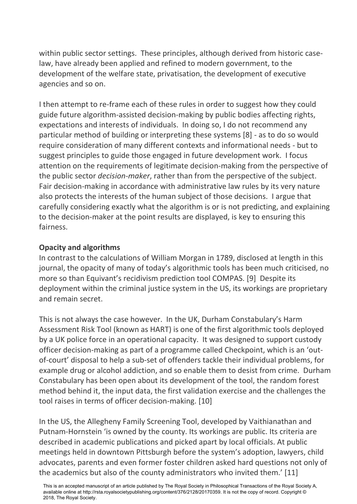within public sector settings. These principles, although derived from historic caselaw, have already been applied and refined to modern government, to the development of the welfare state, privatisation, the development of executive agencies and so on.

I then attempt to re-frame each of these rules in order to suggest how they could guide future algorithm-assisted decision-making by public bodies affecting rights, expectations and interests of individuals. In doing so, I do not recommend any particular method of building or interpreting these systems [8] - as to do so would require consideration of many different contexts and informational needs - but to suggest principles to guide those engaged in future development work. I focus attention on the requirements of legitimate decision-making from the perspective of the public sector *decision-maker*, rather than from the perspective of the subject. Fair decision-making in accordance with administrative law rules by its very nature also protects the interests of the human subject of those decisions. I argue that carefully considering exactly what the algorithm is or is not predicting, and explaining to the decision-maker at the point results are displayed, is key to ensuring this fairness.

## **Opacity and algorithms**

In contrast to the calculations of William Morgan in 1789, disclosed at length in this journal, the opacity of many of today's algorithmic tools has been much criticised, no more so than Equivant's recidivism prediction tool COMPAS. [9] Despite its deployment within the criminal justice system in the US, its workings are proprietary and remain secret.

This is not always the case however. In the UK, Durham Constabulary's Harm Assessment Risk Tool (known as HART) is one of the first algorithmic tools deployed by a UK police force in an operational capacity. It was designed to support custody officer decision-making as part of a programme called Checkpoint, which is an 'outof-court' disposal to help a sub-set of offenders tackle their individual problems, for example drug or alcohol addiction, and so enable them to desist from crime. Durham Constabulary has been open about its development of the tool, the random forest method behind it, the input data, the first validation exercise and the challenges the tool raises in terms of officer decision-making. [10]

In the US, the Allegheny Family Screening Tool, developed by Vaithianathan and Putnam-Hornstein 'is owned by the county. Its workings are public. Its criteria are described in academic publications and picked apart by local officials. At public meetings held in downtown Pittsburgh before the system's adoption, lawyers, child advocates, parents and even former foster children asked hard questions not only of the academics but also of the county administrators who invited them.' [11]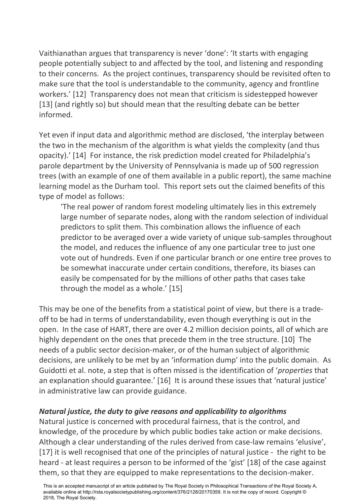Vaithianathan argues that transparency is never 'done': 'It starts with engaging people potentially subject to and affected by the tool, and listening and responding to their concerns. As the project continues, transparency should be revisited often to make sure that the tool is understandable to the community, agency and frontline workers.' [12] Transparency does not mean that criticism is sidestepped however [13] (and rightly so) but should mean that the resulting debate can be better informed.

Yet even if input data and algorithmic method are disclosed, 'the interplay between the two in the mechanism of the algorithm is what yields the complexity (and thus opacity).' [14] For instance, the risk prediction model created for Philadelphia's parole department by the University of Pennsylvania is made up of 500 regression trees (with an example of one of them available in a public report), the same machine learning model as the Durham tool. This report sets out the claimed benefits of this type of model as follows:

'The real power of random forest modeling ultimately lies in this extremely large number of separate nodes, along with the random selection of individual predictors to split them. This combination allows the influence of each predictor to be averaged over a wide variety of unique sub-samples throughout the model, and reduces the influence of any one particular tree to just one vote out of hundreds. Even if one particular branch or one entire tree proves to be somewhat inaccurate under certain conditions, therefore, its biases can easily be compensated for by the millions of other paths that cases take through the model as a whole.' [15]

This may be one of the benefits from a statistical point of view, but there is a tradeoff to be had in terms of understandability, even though everything is out in the open. In the case of HART, there are over 4.2 million decision points, all of which are highly dependent on the ones that precede them in the tree structure. [10] The needs of a public sector decision-maker, or of the human subject of algorithmic decisions, are unlikely to be met by an 'information dump' into the public domain. As Guidotti et al. note, a step that is often missed is the identification of '*properties* that an explanation should guarantee.' [16] It is around these issues that 'natural justice' in administrative law can provide guidance.

#### *Natural justice, the duty to give reasons and applicability to algorithms*

Natural justice is concerned with procedural fairness, that is the control, and knowledge, of the procedure by which public bodies take action or make decisions. Although a clear understanding of the rules derived from case-law remains 'elusive', [17] it is well recognised that one of the principles of natural justice - the right to be heard - at least requires a person to be informed of the 'gist' [18] of the case against them, so that they are equipped to make representations to the decision-maker.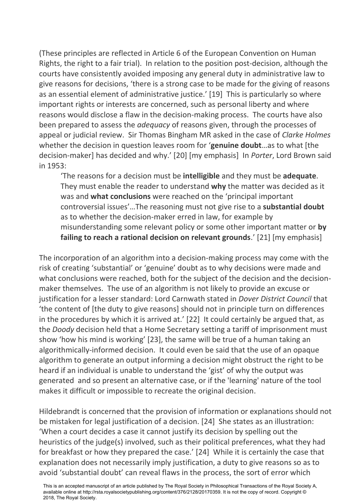(These principles are reflected in Article 6 of the European Convention on Human Rights, the right to a fair trial). In relation to the position post-decision, although the courts have consistently avoided imposing any general duty in administrative law to give reasons for decisions, 'there is a strong case to be made for the giving of reasons as an essential element of administrative justice.' [19] This is particularly so where important rights or interests are concerned, such as personal liberty and where reasons would disclose a flaw in the decision-making process. The courts have also been prepared to assess the *adequacy* of reasons given, through the processes of appeal or judicial review. Sir Thomas Bingham MR asked in the case of *Clarke Holmes* whether the decision in question leaves room for '**genuine doubt**…as to what [the decision-maker] has decided and why.' [20] [my emphasis] In *Porter*, Lord Brown said in 1953:

'The reasons for a decision must be **intelligible** and they must be **adequate**. They must enable the reader to understand **why** the matter was decided as it was and **what conclusions** were reached on the 'principal important controversial issues'…The reasoning must not give rise to a **substantial doubt** as to whether the decision-maker erred in law, for example by misunderstanding some relevant policy or some other important matter or **by failing to reach a rational decision on relevant grounds**.' [21] [my emphasis]

The incorporation of an algorithm into a decision-making process may come with the risk of creating 'substantial' or 'genuine' doubt as to why decisions were made and what conclusions were reached, both for the subject of the decision and the decisionmaker themselves. The use of an algorithm is not likely to provide an excuse or justification for a lesser standard: Lord Carnwath stated in *Dover District Council* that 'the content of [the duty to give reasons] should not in principle turn on differences in the procedures by which it is arrived at.' [22] It could certainly be argued that, as the *Doody* decision held that a Home Secretary setting a tariff of imprisonment must show 'how his mind is working' [23], the same will be true of a human taking an algorithmically-informed decision. It could even be said that the use of an opaque algorithm to generate an output informing a decision might obstruct the right to be heard if an individual is unable to understand the 'gist' of why the output was generated and so present an alternative case, or if the 'learning' nature of the tool makes it difficult or impossible to recreate the original decision.

Hildebrandt is concerned that the provision of information or explanations should not be mistaken for legal justification of a decision. [24] She states as an illustration: 'When a court decides a case it cannot justify its decision by spelling out the heuristics of the judge(s) involved, such as their political preferences, what they had for breakfast or how they prepared the case.' [24] While it is certainly the case that explanation does not necessarily imply justification, a duty to give reasons so as to avoid 'substantial doubt' can reveal flaws in the process, the sort of error which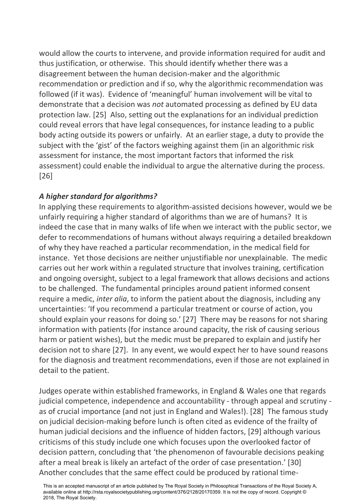would allow the courts to intervene, and provide information required for audit and thus justification, or otherwise. This should identify whether there was a disagreement between the human decision-maker and the algorithmic recommendation or prediction and if so, why the algorithmic recommendation was followed (if it was). Evidence of 'meaningful' human involvement will be vital to demonstrate that a decision was *not* automated processing as defined by EU data protection law. [25] Also, setting out the explanations for an individual prediction could reveal errors that have legal consequences, for instance leading to a public body acting outside its powers or unfairly. At an earlier stage, a duty to provide the subject with the 'gist' of the factors weighing against them (in an algorithmic risk assessment for instance, the most important factors that informed the risk assessment) could enable the individual to argue the alternative during the process. [26]

# *A higher standard for algorithms?*

In applying these requirements to algorithm-assisted decisions however, would we be unfairly requiring a higher standard of algorithms than we are of humans? It is indeed the case that in many walks of life when we interact with the public sector, we defer to recommendations of humans without always requiring a detailed breakdown of why they have reached a particular recommendation, in the medical field for instance. Yet those decisions are neither unjustifiable nor unexplainable. The medic carries out her work within a regulated structure that involves training, certification and ongoing oversight, subject to a legal framework that allows decisions and actions to be challenged. The fundamental principles around patient informed consent require a medic, *inter alia*, to inform the patient about the diagnosis, including any uncertainties: 'If you recommend a particular treatment or course of action, you should explain your reasons for doing so.' [27] There may be reasons for not sharing information with patients (for instance around capacity, the risk of causing serious harm or patient wishes), but the medic must be prepared to explain and justify her decision not to share [27]. In any event, we would expect her to have sound reasons for the diagnosis and treatment recommendations, even if those are not explained in detail to the patient.

Judges operate within established frameworks, in England & Wales one that regards judicial competence, independence and accountability - through appeal and scrutiny as of crucial importance (and not just in England and Wales!). [28] The famous study on judicial decision-making before lunch is often cited as evidence of the frailty of human judicial decisions and the influence of hidden factors, [29] although various criticisms of this study include one which focuses upon the overlooked factor of decision pattern, concluding that 'the phenomenon of favourable decisions peaking after a meal break is likely an artefact of the order of case presentation.' [30] Another concludes that the same effect could be produced by rational time-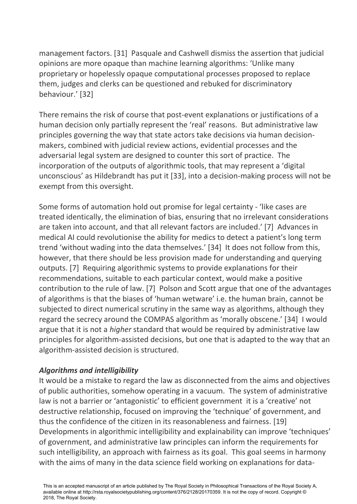management factors. [31] Pasquale and Cashwell dismiss the assertion that judicial opinions are more opaque than machine learning algorithms: 'Unlike many proprietary or hopelessly opaque computational processes proposed to replace them, judges and clerks can be questioned and rebuked for discriminatory behaviour.' [32]

There remains the risk of course that post-event explanations or justifications of a human decision only partially represent the 'real' reasons. But administrative law principles governing the way that state actors take decisions via human decisionmakers, combined with judicial review actions, evidential processes and the adversarial legal system are designed to counter this sort of practice. The incorporation of the outputs of algorithmic tools, that may represent a 'digital unconscious' as Hildebrandt has put it [33], into a decision-making process will not be exempt from this oversight.

Some forms of automation hold out promise for legal certainty - 'like cases are treated identically, the elimination of bias, ensuring that no irrelevant considerations are taken into account, and that all relevant factors are included.' [7] Advances in medical AI could revolutionise the ability for medics to detect a patient's long term trend 'without wading into the data themselves.' [34] It does not follow from this, however, that there should be less provision made for understanding and querying outputs. [7] Requiring algorithmic systems to provide explanations for their recommendations, suitable to each particular context, would make a positive contribution to the rule of law. [7] Polson and Scott argue that one of the advantages of algorithms is that the biases of 'human wetware' i.e. the human brain, cannot be subjected to direct numerical scrutiny in the same way as algorithms, although they regard the secrecy around the COMPAS algorithm as 'morally obscene.' [34] I would argue that it is not a *higher* standard that would be required by administrative law principles for algorithm-assisted decisions, but one that is adapted to the way that an algorithm-assisted decision is structured.

# *Algorithms and intelligibility*

It would be a mistake to regard the law as disconnected from the aims and objectives of public authorities, somehow operating in a vacuum. The system of administrative law is not a barrier or 'antagonistic' to efficient government it is a 'creative' not destructive relationship, focused on improving the 'technique' of government, and thus the confidence of the citizen in its reasonableness and fairness. [19] Developments in algorithmic intelligibility and explainability can improve 'techniques' of government, and administrative law principles can inform the requirements for such intelligibility, an approach with fairness as its goal. This goal seems in harmony with the aims of many in the data science field working on explanations for data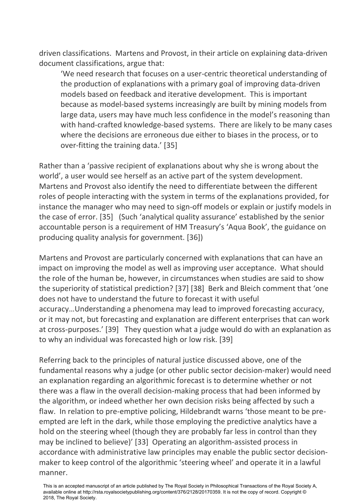driven classifications. Martens and Provost, in their article on explaining data-driven document classifications, argue that:

'We need research that focuses on a user-centric theoretical understanding of the production of explanations with a primary goal of improving data-driven models based on feedback and iterative development. This is important because as model-based systems increasingly are built by mining models from large data, users may have much less confidence in the model's reasoning than with hand-crafted knowledge-based systems. There are likely to be many cases where the decisions are erroneous due either to biases in the process, or to over-fitting the training data.' [35]

Rather than a 'passive recipient of explanations about why she is wrong about the world', a user would see herself as an active part of the system development. Martens and Provost also identify the need to differentiate between the different roles of people interacting with the system in terms of the explanations provided, for instance the manager who may need to sign-off models or explain or justify models in the case of error. [35] (Such 'analytical quality assurance' established by the senior accountable person is a requirement of HM Treasury's 'Aqua Book', the guidance on producing quality analysis for government. [36])

Martens and Provost are particularly concerned with explanations that can have an impact on improving the model as well as improving user acceptance. What should the role of the human be, however, in circumstances when studies are said to show the superiority of statistical prediction? [37] [38] Berk and Bleich comment that 'one does not have to understand the future to forecast it with useful accuracy…Understanding a phenomena may lead to improved forecasting accuracy, or it may not, but forecasting and explanation are different enterprises that can work at cross-purposes.' [39] They question what a judge would do with an explanation as to why an individual was forecasted high or low risk. [39]

Referring back to the principles of natural justice discussed above, one of the fundamental reasons why a judge (or other public sector decision-maker) would need an explanation regarding an algorithmic forecast is to determine whether or not there was a flaw in the overall decision-making process that had been informed by the algorithm, or indeed whether her own decision risks being affected by such a flaw. In relation to pre-emptive policing, Hildebrandt warns 'those meant to be preempted are left in the dark, while those employing the predictive analytics have a hold on the steering wheel (though they are probably far less in control than they may be inclined to believe)' [33] Operating an algorithm-assisted process in accordance with administrative law principles may enable the public sector decisionmaker to keep control of the algorithmic 'steering wheel' and operate it in a lawful manner.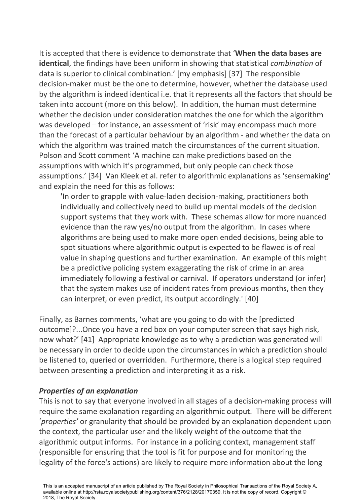It is accepted that there is evidence to demonstrate that '**When the data bases are identical**, the findings have been uniform in showing that statistical *combination* of data is superior to clinical combination.' [my emphasis] [37] The responsible decision-maker must be the one to determine, however, whether the database used by the algorithm is indeed identical i.e. that it represents all the factors that should be taken into account (more on this below). In addition, the human must determine whether the decision under consideration matches the one for which the algorithm was developed – for instance, an assessment of 'risk' may encompass much more than the forecast of a particular behaviour by an algorithm - and whether the data on which the algorithm was trained match the circumstances of the current situation. Polson and Scott comment 'A machine can make predictions based on the assumptions with which it's programmed, but only people can check those assumptions.' [34] Van Kleek et al. refer to algorithmic explanations as 'sensemaking' and explain the need for this as follows:

'In order to grapple with value-laden decision-making, practitioners both individually and collectively need to build up mental models of the decision support systems that they work with. These schemas allow for more nuanced evidence than the raw yes/no output from the algorithm. In cases where algorithms are being used to make more open ended decisions, being able to spot situations where algorithmic output is expected to be flawed is of real value in shaping questions and further examination. An example of this might be a predictive policing system exaggerating the risk of crime in an area immediately following a festival or carnival. If operators understand (or infer) that the system makes use of incident rates from previous months, then they can interpret, or even predict, its output accordingly.' [40]

Finally, as Barnes comments, 'what are you going to do with the [predicted outcome]?...Once you have a red box on your computer screen that says high risk, now what?' [41] Appropriate knowledge as to why a prediction was generated will be necessary in order to decide upon the circumstances in which a prediction should be listened to, queried or overridden. Furthermore, there is a logical step required between presenting a prediction and interpreting it as a risk.

#### *Properties of an explanation*

This is not to say that everyone involved in all stages of a decision-making process will require the same explanation regarding an algorithmic output. There will be different '*properties'* or granularity that should be provided by an explanation dependent upon the context, the particular user and the likely weight of the outcome that the algorithmic output informs. For instance in a policing context, management staff (responsible for ensuring that the tool is fit for purpose and for monitoring the legality of the force's actions) are likely to require more information about the long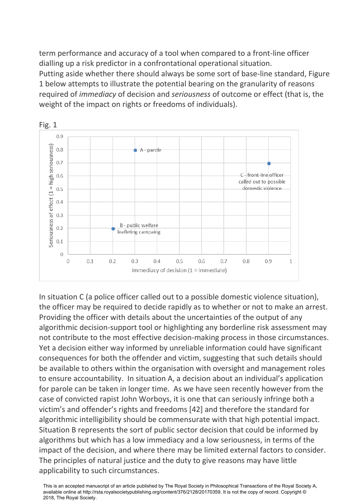term performance and accuracy of a tool when compared to a front-line officer dialling up a risk predictor in a confrontational operational situation. Putting aside whether there should always be some sort of base-line standard, Figure 1 below attempts to illustrate the potential bearing on the granularity of reasons required of *immediacy* of decision and *seriousness* of outcome or effect (that is, the weight of the impact on rights or freedoms of individuals).



In situation C (a police officer called out to a possible domestic violence situation), the officer may be required to decide rapidly as to whether or not to make an arrest. Providing the officer with details about the uncertainties of the output of any algorithmic decision-support tool or highlighting any borderline risk assessment may not contribute to the most effective decision-making process in those circumstances. Yet a decision either way informed by unreliable information could have significant consequences for both the offender and victim, suggesting that such details should be available to others within the organisation with oversight and management roles to ensure accountability. In situation A, a decision about an individual's application for parole can be taken in longer time. As we have seen recently however from the case of convicted rapist John Worboys, it is one that can seriously infringe both a victim's and offender's rights and freedoms [42] and therefore the standard for algorithmic intelligibility should be commensurate with that high potential impact. Situation B represents the sort of public sector decision that could be informed by algorithms but which has a low immediacy and a low seriousness, in terms of the impact of the decision, and where there may be limited external factors to consider. The principles of natural justice and the duty to give reasons may have little applicability to such circumstances.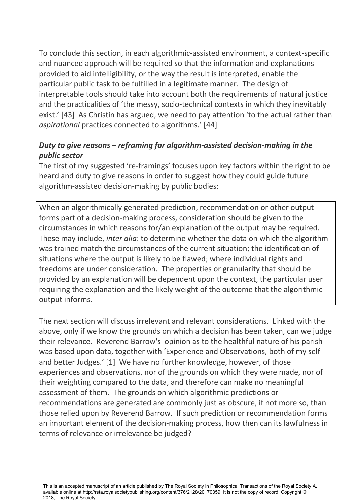To conclude this section, in each algorithmic-assisted environment, a context-specific and nuanced approach will be required so that the information and explanations provided to aid intelligibility, or the way the result is interpreted, enable the particular public task to be fulfilled in a legitimate manner. The design of interpretable tools should take into account both the requirements of natural justice and the practicalities of 'the messy, socio-technical contexts in which they inevitably exist.' [43] As Christin has argued, we need to pay attention 'to the actual rather than *aspirational* practices connected to algorithms.' [44]

# *Duty to give reasons – reframing for algorithm-assisted decision-making in the public sector*

The first of my suggested 're-framings' focuses upon key factors within the right to be heard and duty to give reasons in order to suggest how they could guide future algorithm-assisted decision-making by public bodies:

When an algorithmically generated prediction, recommendation or other output forms part of a decision-making process, consideration should be given to the circumstances in which reasons for/an explanation of the output may be required. These may include, *inter alia*: to determine whether the data on which the algorithm was trained match the circumstances of the current situation; the identification of situations where the output is likely to be flawed; where individual rights and freedoms are under consideration. The properties or granularity that should be provided by an explanation will be dependent upon the context, the particular user requiring the explanation and the likely weight of the outcome that the algorithmic output informs.

The next section will discuss irrelevant and relevant considerations. Linked with the above, only if we know the grounds on which a decision has been taken, can we judge their relevance. Reverend Barrow's opinion as to the healthful nature of his parish was based upon data, together with 'Experience and Observations, both of my self and better Judges.' [1] We have no further knowledge, however, of those experiences and observations, nor of the grounds on which they were made, nor of their weighting compared to the data, and therefore can make no meaningful assessment of them. The grounds on which algorithmic predictions or recommendations are generated are commonly just as obscure, if not more so, than those relied upon by Reverend Barrow. If such prediction or recommendation forms an important element of the decision-making process, how then can its lawfulness in terms of relevance or irrelevance be judged?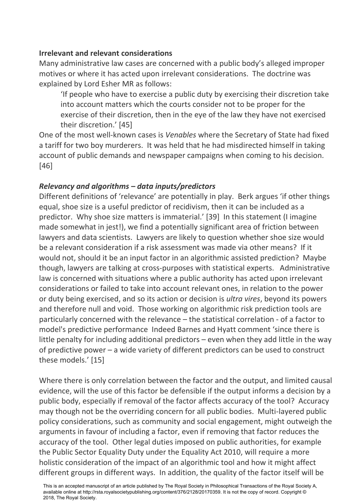#### **Irrelevant and relevant considerations**

Many administrative law cases are concerned with a public body's alleged improper motives or where it has acted upon irrelevant considerations. The doctrine was explained by Lord Esher MR as follows:

'If people who have to exercise a public duty by exercising their discretion take into account matters which the courts consider not to be proper for the exercise of their discretion, then in the eye of the law they have not exercised their discretion.' [45]

One of the most well-known cases is *Venables* where the Secretary of State had fixed a tariff for two boy murderers. It was held that he had misdirected himself in taking account of public demands and newspaper campaigns when coming to his decision. [46]

# *Relevancy and algorithms – data inputs/predictors*

Different definitions of 'relevance' are potentially in play. Berk argues 'if other things equal, shoe size is a useful predictor of recidivism, then it can be included as a predictor. Why shoe size matters is immaterial.' [39] In this statement (I imagine made somewhat in jest!), we find a potentially significant area of friction between lawyers and data scientists. Lawyers are likely to question whether shoe size would be a relevant consideration if a risk assessment was made via other means? If it would not, should it be an input factor in an algorithmic assisted prediction? Maybe though, lawyers are talking at cross-purposes with statistical experts. Administrative law is concerned with situations where a public authority has acted upon irrelevant considerations or failed to take into account relevant ones, in relation to the power or duty being exercised, and so its action or decision is *ultra vires*, beyond its powers and therefore null and void. Those working on algorithmic risk prediction tools are particularly concerned with the relevance – the statistical correlation - of a factor to model's predictive performance Indeed Barnes and Hyatt comment 'since there is little penalty for including additional predictors – even when they add little in the way of predictive power – a wide variety of different predictors can be used to construct these models.' [15]

Where there is only correlation between the factor and the output, and limited causal evidence, will the use of this factor be defensible if the output informs a decision by a public body, especially if removal of the factor affects accuracy of the tool? Accuracy may though not be the overriding concern for all public bodies. Multi-layered public policy considerations, such as community and social engagement, might outweigh the arguments in favour of including a factor, even if removing that factor reduces the accuracy of the tool. Other legal duties imposed on public authorities, for example the Public Sector Equality Duty under the Equality Act 2010, will require a more holistic consideration of the impact of an algorithmic tool and how it might affect different groups in different ways. In addition, the quality of the factor itself will be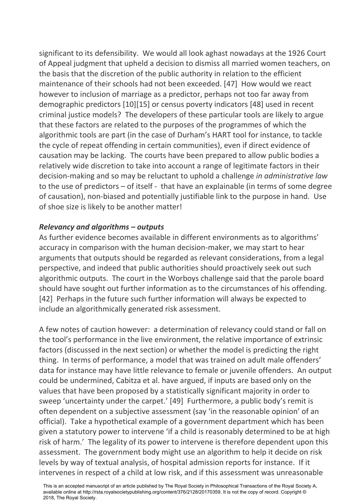significant to its defensibility. We would all look aghast nowadays at the 1926 Court of Appeal judgment that upheld a decision to dismiss all married women teachers, on the basis that the discretion of the public authority in relation to the efficient maintenance of their schools had not been exceeded. [47] How would we react however to inclusion of marriage as a predictor, perhaps not too far away from demographic predictors [10][15] or census poverty indicators [48] used in recent criminal justice models? The developers of these particular tools are likely to argue that these factors are related to the purposes of the programmes of which the algorithmic tools are part (in the case of Durham's HART tool for instance, to tackle the cycle of repeat offending in certain communities), even if direct evidence of causation may be lacking. The courts have been prepared to allow public bodies a relatively wide discretion to take into account a range of legitimate factors in their decision-making and so may be reluctant to uphold a challenge *in administrative law* to the use of predictors – of itself - that have an explainable (in terms of some degree of causation), non-biased and potentially justifiable link to the purpose in hand. Use of shoe size is likely to be another matter!

## *Relevancy and algorithms – outputs*

As further evidence becomes available in different environments as to algorithms' accuracy in comparison with the human decision-maker, we may start to hear arguments that outputs should be regarded as relevant considerations, from a legal perspective, and indeed that public authorities should proactively seek out such algorithmic outputs. The court in the Worboys challenge said that the parole board should have sought out further information as to the circumstances of his offending. [42] Perhaps in the future such further information will always be expected to include an algorithmically generated risk assessment.

A few notes of caution however: a determination of relevancy could stand or fall on the tool's performance in the live environment, the relative importance of extrinsic factors (discussed in the next section) or whether the model is predicting the right thing. In terms of performance, a model that was trained on adult male offenders' data for instance may have little relevance to female or juvenile offenders. An output could be undermined, Cabitza et al. have argued, if inputs are based only on the values that have been proposed by a statistically significant majority in order to sweep 'uncertainty under the carpet.' [49] Furthermore, a public body's remit is often dependent on a subjective assessment (say 'in the reasonable opinion' of an official). Take a hypothetical example of a government department which has been given a statutory power to intervene 'if a child is reasonably determined to be at high risk of harm.' The legality of its power to intervene is therefore dependent upon this assessment. The government body might use an algorithm to help it decide on risk levels by way of textual analysis, of hospital admission reports for instance. If it intervenes in respect of a child at low risk, and if this assessment was unreasonable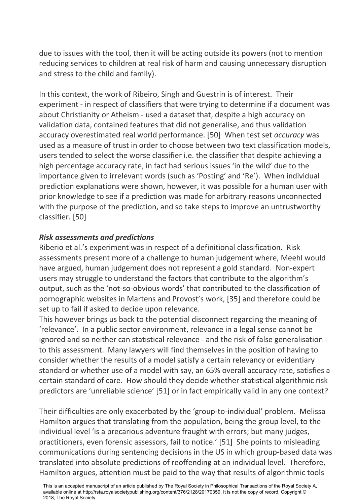due to issues with the tool, then it will be acting outside its powers (not to mention reducing services to children at real risk of harm and causing unnecessary disruption and stress to the child and family).

In this context, the work of Ribeiro, Singh and Guestrin is of interest. Their experiment - in respect of classifiers that were trying to determine if a document was about Christianity or Atheism - used a dataset that, despite a high accuracy on validation data, contained features that did not generalise, and thus validation accuracy overestimated real world performance. [50] When test set *accuracy* was used as a measure of trust in order to choose between two text classification models, users tended to select the worse classifier i.e. the classifier that despite achieving a high percentage accuracy rate, in fact had serious issues 'in the wild' due to the importance given to irrelevant words (such as 'Posting' and 'Re'). When individual prediction explanations were shown, however, it was possible for a human user with prior knowledge to see if a prediction was made for arbitrary reasons unconnected with the purpose of the prediction, and so take steps to improve an untrustworthy classifier. [50]

## *Risk assessments and predictions*

Riberio et al.'s experiment was in respect of a definitional classification. Risk assessments present more of a challenge to human judgement where, Meehl would have argued, human judgement does not represent a gold standard. Non-expert users may struggle to understand the factors that contribute to the algorithm's output, such as the 'not-so-obvious words' that contributed to the classification of pornographic websites in Martens and Provost's work, [35] and therefore could be set up to fail if asked to decide upon relevance.

This however brings us back to the potential disconnect regarding the meaning of 'relevance'. In a public sector environment, relevance in a legal sense cannot be ignored and so neither can statistical relevance - and the risk of false generalisation to this assessment. Many lawyers will find themselves in the position of having to consider whether the results of a model satisfy a certain relevancy or evidentiary standard or whether use of a model with say, an 65% overall accuracy rate, satisfies a certain standard of care. How should they decide whether statistical algorithmic risk predictors are 'unreliable science' [51] or in fact empirically valid in any one context?

Their difficulties are only exacerbated by the 'group-to-individual' problem. Melissa Hamilton argues that translating from the population, being the group level, to the individual level 'is a precarious adventure fraught with errors; but many judges, practitioners, even forensic assessors, fail to notice.' [51] She points to misleading communications during sentencing decisions in the US in which group-based data was translated into absolute predictions of reoffending at an individual level. Therefore, Hamilton argues, attention must be paid to the way that results of algorithmic tools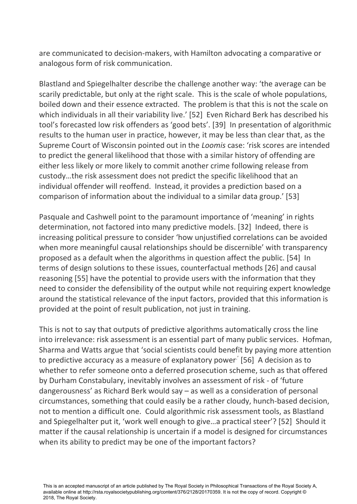are communicated to decision-makers, with Hamilton advocating a comparative or analogous form of risk communication.

Blastland and Spiegelhalter describe the challenge another way: 'the average can be scarily predictable, but only at the right scale. This is the scale of whole populations, boiled down and their essence extracted. The problem is that this is not the scale on which individuals in all their variability live.' [52] Even Richard Berk has described his tool's forecasted low risk offenders as 'good bets'. [39] In presentation of algorithmic results to the human user in practice, however, it may be less than clear that, as the Supreme Court of Wisconsin pointed out in the *Loomis* case: 'risk scores are intended to predict the general likelihood that those with a similar history of offending are either less likely or more likely to commit another crime following release from custody…the risk assessment does not predict the specific likelihood that an individual offender will reoffend. Instead, it provides a prediction based on a comparison of information about the individual to a similar data group.' [53]

Pasquale and Cashwell point to the paramount importance of 'meaning' in rights determination, not factored into many predictive models. [32] Indeed, there is increasing political pressure to consider 'how unjustified correlations can be avoided when more meaningful causal relationships should be discernible' with transparency proposed as a default when the algorithms in question affect the public. [54] In terms of design solutions to these issues, counterfactual methods [26] and causal reasoning [55] have the potential to provide users with the information that they need to consider the defensibility of the output while not requiring expert knowledge around the statistical relevance of the input factors, provided that this information is provided at the point of result publication, not just in training.

This is not to say that outputs of predictive algorithms automatically cross the line into irrelevance: risk assessment is an essential part of many public services. Hofman, Sharma and Watts argue that 'social scientists could benefit by paying more attention to predictive accuracy as a measure of explanatory power<sup>.'</sup> [56] A decision as to whether to refer someone onto a deferred prosecution scheme, such as that offered by Durham Constabulary, inevitably involves an assessment of risk - of 'future dangerousness' as Richard Berk would say – as well as a consideration of personal circumstances, something that could easily be a rather cloudy, hunch-based decision, not to mention a difficult one. Could algorithmic risk assessment tools, as Blastland and Spiegelhalter put it, 'work well enough to give…a practical steer'? [52] Should it matter if the causal relationship is uncertain if a model is designed for circumstances when its ability to predict may be one of the important factors?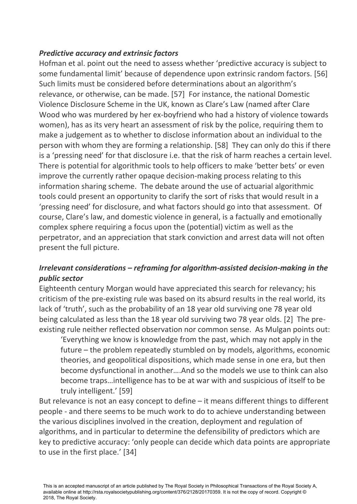## *Predictive accuracy and extrinsic factors*

Hofman et al. point out the need to assess whether 'predictive accuracy is subject to some fundamental limit' because of dependence upon extrinsic random factors. [56] Such limits must be considered before determinations about an algorithm's relevance, or otherwise, can be made. [57] For instance, the national Domestic Violence Disclosure Scheme in the UK, known as Clare's Law (named after Clare Wood who was murdered by her ex-boyfriend who had a history of violence towards women), has as its very heart an assessment of risk by the police, requiring them to make a judgement as to whether to disclose information about an individual to the person with whom they are forming a relationship. [58] They can only do this if there is a 'pressing need' for that disclosure i.e. that the risk of harm reaches a certain level. There is potential for algorithmic tools to help officers to make 'better bets' or even improve the currently rather opaque decision-making process relating to this information sharing scheme. The debate around the use of actuarial algorithmic tools could present an opportunity to clarify the sort of risks that would result in a 'pressing need' for disclosure, and what factors should go into that assessment. Of course, Clare's law, and domestic violence in general, is a factually and emotionally complex sphere requiring a focus upon the (potential) victim as well as the perpetrator, and an appreciation that stark conviction and arrest data will not often present the full picture.

# *Irrelevant considerations – reframing for algorithm-assisted decision-making in the public sector*

Eighteenth century Morgan would have appreciated this search for relevancy; his criticism of the pre-existing rule was based on its absurd results in the real world, its lack of 'truth', such as the probability of an 18 year old surviving one 78 year old being calculated as less than the 18 year old surviving two 78 year olds. [2] The preexisting rule neither reflected observation nor common sense. As Mulgan points out:

'Everything we know is knowledge from the past, which may not apply in the future – the problem repeatedly stumbled on by models, algorithms, economic theories, and geopolitical dispositions, which made sense in one era, but then become dysfunctional in another….And so the models we use to think can also become traps…intelligence has to be at war with and suspicious of itself to be truly intelligent.' [59]

But relevance is not an easy concept to define – it means different things to different people - and there seems to be much work to do to achieve understanding between the various disciplines involved in the creation, deployment and regulation of algorithms, and in particular to determine the defensibility of predictors which are key to predictive accuracy: 'only people can decide which data points are appropriate to use in the first place.' [34]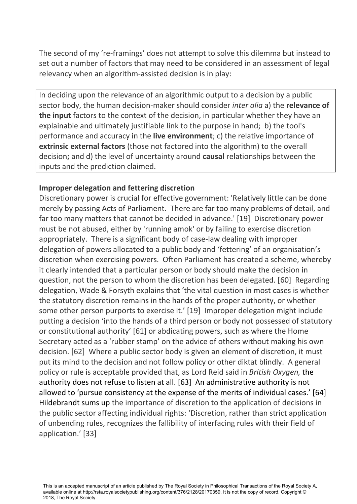The second of my 're-framings' does not attempt to solve this dilemma but instead to set out a number of factors that may need to be considered in an assessment of legal relevancy when an algorithm-assisted decision is in play:

In deciding upon the relevance of an algorithmic output to a decision by a public sector body, the human decision-maker should consider *inter alia* a) the **relevance of the input** factors to the context of the decision, in particular whether they have an explainable and ultimately justifiable link to the purpose in hand; b) the tool's performance and accuracy in the **live environment**; c) the relative importance of **extrinsic external factors** (those not factored into the algorithm) to the overall decision**;** and d) the level of uncertainty around **causal** relationships between the inputs and the prediction claimed.

# **Improper delegation and fettering discretion**

Discretionary power is crucial for effective government: 'Relatively little can be done merely by passing Acts of Parliament. There are far too many problems of detail, and far too many matters that cannot be decided in advance.' [19] Discretionary power must be not abused, either by 'running amok' or by failing to exercise discretion appropriately. There is a significant body of case-law dealing with improper delegation of powers allocated to a public body and 'fettering' of an organisation's discretion when exercising powers. Often Parliament has created a scheme, whereby it clearly intended that a particular person or body should make the decision in question, not the person to whom the discretion has been delegated. [60] Regarding delegation, Wade & Forsyth explains that 'the vital question in most cases is whether the statutory discretion remains in the hands of the proper authority, or whether some other person purports to exercise it.' [19] Improper delegation might include putting a decision 'into the hands of a third person or body not possessed of statutory or constitutional authority' [61] or abdicating powers, such as where the Home Secretary acted as a 'rubber stamp' on the advice of others without making his own decision. [62] Where a public sector body is given an element of discretion, it must put its mind to the decision and not follow policy or other diktat blindly. A general policy or rule is acceptable provided that, as Lord Reid said in *British Oxygen,* the authority does not refuse to listen at all. [63] An administrative authority is not allowed to 'pursue consistency at the expense of the merits of individual cases.' [64] Hildebrandt sums up the importance of discretion to the application of decisions in the public sector affecting individual rights: 'Discretion, rather than strict application of unbending rules, recognizes the fallibility of interfacing rules with their field of application.' [33]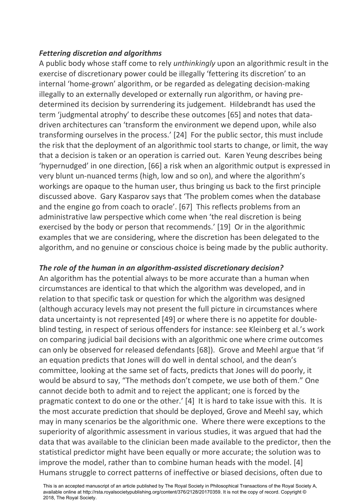## *Fettering discretion and algorithms*

A public body whose staff come to rely *unthinkingly* upon an algorithmic result in the exercise of discretionary power could be illegally 'fettering its discretion' to an internal 'home-grown' algorithm, or be regarded as delegating decision-making illegally to an externally developed or externally run algorithm, or having predetermined its decision by surrendering its judgement. Hildebrandt has used the term 'judgmental atrophy' to describe these outcomes [65] and notes that datadriven architectures can 'transform the environment we depend upon, while also transforming ourselves in the process.' [24] For the public sector, this must include the risk that the deployment of an algorithmic tool starts to change, or limit, the way that a decision is taken or an operation is carried out. Karen Yeung describes being 'hypernudged' in one direction, [66] a risk when an algorithmic output is expressed in very blunt un-nuanced terms (high, low and so on), and where the algorithm's workings are opaque to the human user, thus bringing us back to the first principle discussed above. Gary Kasparov says that 'The problem comes when the database and the engine go from coach to oracle'. [67] This reflects problems from an administrative law perspective which come when 'the real discretion is being exercised by the body or person that recommends.' [19] Or in the algorithmic examples that we are considering, where the discretion has been delegated to the algorithm, and no genuine or conscious choice is being made by the public authority.

# *The role of the human in an algorithm-assisted discretionary decision?*

An algorithm has the potential always to be more accurate than a human when circumstances are identical to that which the algorithm was developed, and in relation to that specific task or question for which the algorithm was designed (although accuracy levels may not present the full picture in circumstances where data uncertainty is not represented [49] or where there is no appetite for doubleblind testing, in respect of serious offenders for instance: see Kleinberg et al.'s work on comparing judicial bail decisions with an algorithmic one where crime outcomes can only be observed for released defendants [68]). Grove and Meehl argue that 'if an equation predicts that Jones will do well in dental school, and the dean's committee, looking at the same set of facts, predicts that Jones will do poorly, it would be absurd to say, "The methods don't compete, we use both of them." One cannot decide both to admit and to reject the applicant; one is forced by the pragmatic context to do one or the other.' [4] It is hard to take issue with this. It is the most accurate prediction that should be deployed, Grove and Meehl say, which may in many scenarios be the algorithmic one. Where there were exceptions to the superiority of algorithmic assessment in various studies, it was argued that had the data that was available to the clinician been made available to the predictor, then the statistical predictor might have been equally or more accurate; the solution was to improve the model, rather than to combine human heads with the model. [4] Humans struggle to correct patterns of ineffective or biased decisions, often due to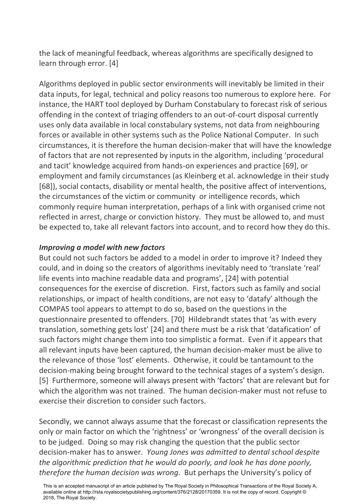the lack of meaningful feedback, whereas algorithms are specifically designed to learn through error. [4]

Algorithms deployed in public sector environments will inevitably be limited in their data inputs, for legal, technical and policy reasons too numerous to explore here. For instance, the HART tool deployed by Durham Constabulary to forecast risk of serious offending in the context of triaging offenders to an out-of-court disposal currently uses only data available in local constabulary systems, not data from neighbouring forces or available in other systems such as the Police National Computer. In such circumstances, it is therefore the human decision-maker that will have the knowledge of factors that are not represented by inputs in the algorithm, including 'procedural and tacit' knowledge acquired from hands-on experiences and practice [69], or employment and family circumstances (as Kleinberg et al. acknowledge in their study [68]), social contacts, disability or mental health, the positive affect of interventions, the circumstances of the victim or community or intelligence records, which commonly require human interpretation, perhaps of a link with organised crime not reflected in arrest, charge or conviction history. They must be allowed to, and must be expected to, take all relevant factors into account, and to record how they do this.

# *Improving a model with new factors*

But could not such factors be added to a model in order to improve it? Indeed they could, and in doing so the creators of algorithms inevitably need to 'translate 'real' life events into machine readable data and programs', [24] with potential consequences for the exercise of discretion. First, factors such as family and social relationships, or impact of health conditions, are not easy to 'datafy' although the COMPAS tool appears to attempt to do so, based on the questions in the questionnaire presented to offenders. [70] Hildebrandt states that 'as with every translation, something gets lost' [24] and there must be a risk that 'datafication' of such factors might change them into too simplistic a format. Even if it appears that all relevant inputs have been captured, the human decision-maker must be alive to the relevance of those 'lost' elements. Otherwise, it could be tantamount to the decision-making being brought forward to the technical stages of a system's design. [5] Furthermore, someone will always present with 'factors' that are relevant but for which the algorithm was not trained. The human decision-maker must not refuse to exercise their discretion to consider such factors.

Secondly, we cannot always assume that the forecast or classification represents the only or main factor on which the 'rightness' or 'wrongness' of the overall decision is to be judged. Doing so may risk changing the question that the public sector decision-maker has to answer. *Young Jones was admitted to dental school despite the algorithmic prediction that he would do poorly, and look he has done poorly, therefore the human decision was wrong*. But perhaps the University's policy of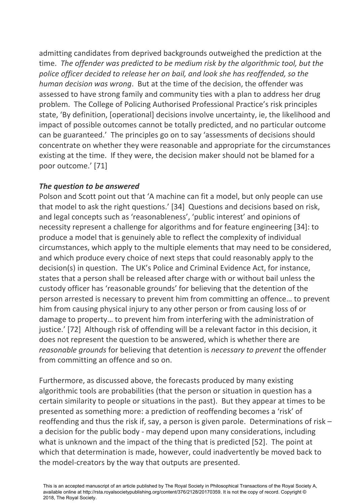admitting candidates from deprived backgrounds outweighed the prediction at the time. *The offender was predicted to be medium risk by the algorithmic tool, but the police officer decided to release her on bail, and look she has reoffended, so the human decision was wrong*. But at the time of the decision, the offender was assessed to have strong family and community ties with a plan to address her drug problem. The College of Policing Authorised Professional Practice's risk principles state, 'By definition, [operational] decisions involve uncertainty, ie, the likelihood and impact of possible outcomes cannot be totally predicted, and no particular outcome can be guaranteed.' The principles go on to say 'assessments of decisions should concentrate on whether they were reasonable and appropriate for the circumstances existing at the time. If they were, the decision maker should not be blamed for a poor outcome.' [71]

# *The question to be answered*

Polson and Scott point out that 'A machine can fit a model, but only people can use that model to ask the right questions.' [34] Questions and decisions based on risk, and legal concepts such as 'reasonableness', 'public interest' and opinions of necessity represent a challenge for algorithms and for feature engineering [34]: to produce a model that is genuinely able to reflect the complexity of individual circumstances, which apply to the multiple elements that may need to be considered, and which produce every choice of next steps that could reasonably apply to the decision(s) in question. The UK's Police and Criminal Evidence Act, for instance, states that a person shall be released after charge with or without bail unless the custody officer has 'reasonable grounds' for believing that the detention of the person arrested is necessary to prevent him from committing an offence… to prevent him from causing physical injury to any other person or from causing loss of or damage to property… to prevent him from interfering with the administration of justice.' [72] Although risk of offending will be a relevant factor in this decision, it does not represent the question to be answered, which is whether there are *reasonable grounds* for believing that detention is *necessary to prevent* the offender from committing an offence and so on.

Furthermore, as discussed above, the forecasts produced by many existing algorithmic tools are probabilities (that the person or situation in question has a certain similarity to people or situations in the past). But they appear at times to be presented as something more: a prediction of reoffending becomes a 'risk' of reoffending and thus the risk if, say, a person is given parole. Determinations of risk – a decision for the public body - may depend upon many considerations, including what is unknown and the impact of the thing that is predicted [52]. The point at which that determination is made, however, could inadvertently be moved back to the model-creators by the way that outputs are presented.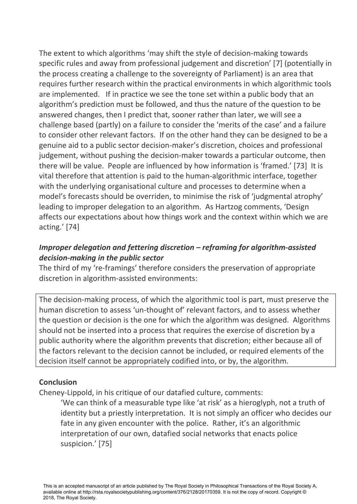The extent to which algorithms 'may shift the style of decision-making towards specific rules and away from professional judgement and discretion' [7] (potentially in the process creating a challenge to the sovereignty of Parliament) is an area that requires further research within the practical environments in which algorithmic tools are implemented. If in practice we see the tone set within a public body that an algorithm's prediction must be followed, and thus the nature of the question to be answered changes, then I predict that, sooner rather than later, we will see a challenge based (partly) on a failure to consider the 'merits of the case' and a failure to consider other relevant factors. If on the other hand they can be designed to be a genuine aid to a public sector decision-maker's discretion, choices and professional judgement, without pushing the decision-maker towards a particular outcome, then there will be value. People are influenced by how information is 'framed.' [73] It is vital therefore that attention is paid to the human-algorithmic interface, together with the underlying organisational culture and processes to determine when a model's forecasts should be overriden, to minimise the risk of 'judgmental atrophy' leading to improper delegation to an algorithm. As Hartzog comments, 'Design affects our expectations about how things work and the context within which we are acting.' [74]

# *Improper delegation and fettering discretion – reframing for algorithm-assisted decision-making in the public sector*

The third of my 're-framings' therefore considers the preservation of appropriate discretion in algorithm-assisted environments:

The decision-making process, of which the algorithmic tool is part, must preserve the human discretion to assess 'un-thought of' relevant factors, and to assess whether the question or decision is the one for which the algorithm was designed. Algorithms should not be inserted into a process that requires the exercise of discretion by a public authority where the algorithm prevents that discretion; either because all of the factors relevant to the decision cannot be included, or required elements of the decision itself cannot be appropriately codified into, or by, the algorithm.

#### **Conclusion**

Cheney-Lippold, in his critique of our datafied culture, comments:

'We can think of a measurable type like 'at risk' as a hieroglyph, not a truth of identity but a priestly interpretation. It is not simply an officer who decides our fate in any given encounter with the police. Rather, it's an algorithmic interpretation of our own, datafied social networks that enacts police suspicion.' [75]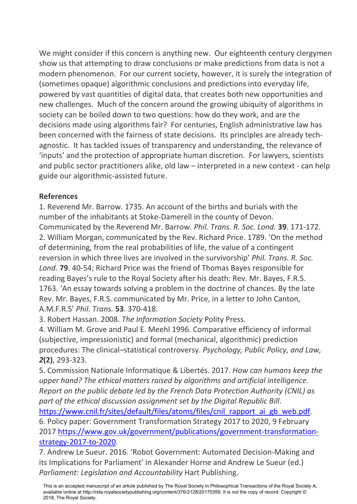We might consider if this concern is anything new. Our eighteenth century clergymen show us that attempting to draw conclusions or make predictions from data is not a modern phenomenon. For our current society, however, it is surely the integration of (sometimes opaque) algorithmic conclusions and predictions into everyday life, powered by vast quantities of digital data, that creates both new opportunities and new challenges. Much of the concern around the growing ubiquity of algorithms in society can be boiled down to two questions: how do they work, and are the decisions made using algorithms fair? For centuries, English administrative law has been concerned with the fairness of state decisions. Its principles are already techagnostic. It has tackled issues of transparency and understanding, the relevance of 'inputs' and the protection of appropriate human discretion. For lawyers, scientists and public sector practitioners alike, old law – interpreted in a new context - can help guide our algorithmic-assisted future.

## **References**

1. Reverend Mr. Barrow. 1735. An account of the births and burials with the number of the inhabitants at Stoke-Damerell in the county of Devon. Communicated by the Reverend Mr. Barrow. *Phil. Trans. R. Soc. Lond.* **39**. 171-172. 2. William Morgan, communicated by the Rev. Richard Price. 1789. 'On the method of determining, from the real probabilities of life, the value of a contingent reversion in which three lives are involved in the survivorship' *Phil. Trans. R. Soc. Lond.* **79**. 40-54; Richard Price was the friend of Thomas Bayes responsible for reading Bayes's rule to the Royal Society after his death: Rev. Mr. Bayes, F.R.S. 1763. 'An essay towards solving a problem in the doctrine of chances. By the late Rev. Mr. Bayes, F.R.S. communicated by Mr. Price, in a letter to John Canton, A.M.F.R.S' *Phil. Trans.* **53**. 370-418.

3. Robert Hassan. 2008. *The Information Society* Polity Press.

4. William M. Grove and Paul E. Meehl 1996. Comparative efficiency of informal (subjective, impressionistic) and formal (mechanical, algorithmic) prediction procedures: The clinical–statistical controversy. *Psychology, Public Policy, and Law, 2***(2)**, 293-323.

5. Commission Nationale Informatique & Libertés. 2017. *How can humans keep the upper hand? The ethical matters raised by algorithms and artificial intelligence. Report on the public debate led by the French Data Protection Authority (CNIL) as part of the ethical discussion assignment set by the Digital Republic Bill*. [https://www.cnil.fr/sites/default/files/atoms/files/cnil\\_rapport\\_ai\\_gb\\_web.pdf.](https://www.cnil.fr/sites/default/files/atoms/files/cnil_rapport_ai_gb_web.pdf)

6. Policy paper: Government Transformation Strategy 2017 to 2020, 9 February 2017 [https://www.gov.uk/government/publications/government-transformation](https://www.gov.uk/government/publications/government-transformation-strategy-2017-to-2020)[strategy-2017-to-2020.](https://www.gov.uk/government/publications/government-transformation-strategy-2017-to-2020)

7. Andrew Le Sueur. 2016. 'Robot Government: Automated Decision-Making and its Implications for Parliament' in Alexander Horne and Andrew Le Sueur (ed.) *Parliament: Legislation and Accountability* Hart Publishing.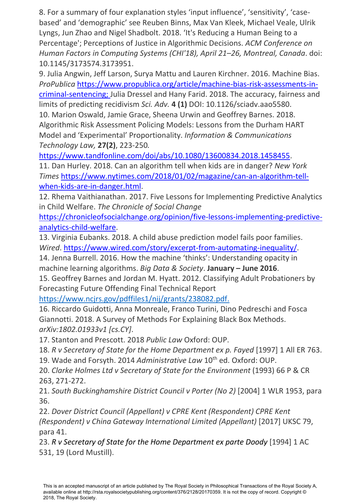8. For a summary of four explanation styles 'input influence', 'sensitivity', 'casebased' and 'demographic' see Reuben Binns, Max Van Kleek, Michael Veale, Ulrik Lyngs, Jun Zhao and Nigel Shadbolt. 2018. 'It's Reducing a Human Being to a Percentage'; Perceptions of Justice in Algorithmic Decisions. *ACM Conference on Human Factors in Computing Systems (CHI'18), April 21–26, Montreal, Canada*. doi: 10.1145/3173574.3173951.

9. Julia Angwin, Jeff Larson, Surya Mattu and Lauren Kirchner. 2016. Machine Bias. *ProPublica* [https://www.propublica.org/article/machine-bias-risk-assessments-in](https://www.propublica.org/article/machine-bias-risk-assessments-in-criminal-sentencing)[criminal-sentencing;](https://www.propublica.org/article/machine-bias-risk-assessments-in-criminal-sentencing) Julia Dressel and Hany Farid. 2018. The accuracy, fairness and limits of predicting recidivism *Sci. Adv.* **4 (1)** DOI: 10.1126/sciadv.aao5580.

10. Marion Oswald, Jamie Grace, Sheena Urwin and Geoffrey Barnes. 2018. Algorithmic Risk Assessment Policing Models: Lessons from the Durham HART Model and 'Experimental' Proportionality. *Information & Communications Technology Law,* **27(2)**, 223-250*.*

[https://www.tandfonline.com/doi/abs/10.1080/13600834.2018.1458455.](https://www.tandfonline.com/doi/abs/10.1080/13600834.2018.1458455) 11. Dan Hurley. 2018. Can an algorithm tell when kids are in danger? *New York Times* [https://www.nytimes.com/2018/01/02/magazine/can-an-algorithm-tell](https://www.nytimes.com/2018/01/02/magazine/can-an-algorithm-tell-when-kids-are-in-danger.html)[when-kids-are-in-danger.html.](https://www.nytimes.com/2018/01/02/magazine/can-an-algorithm-tell-when-kids-are-in-danger.html)

12. Rhema Vaithianathan. 2017. Five Lessons for Implementing Predictive Analytics in Child Welfare. *The Chronicle of Social Change*

[https://chronicleofsocialchange.org/opinion/five-lessons-implementing-predictive](https://chronicleofsocialchange.org/opinion/five-lessons-implementing-predictive-analytics-child-welfare)[analytics-child-welfare.](https://chronicleofsocialchange.org/opinion/five-lessons-implementing-predictive-analytics-child-welfare)

13. Virginia Eubanks. 2018. A child abuse prediction model fails poor families. *Wired*. [https://www.wired.com/story/excerpt-from-automating-inequality/.](https://www.wired.com/story/excerpt-from-automating-inequality/)

14. Jenna Burrell. 2016. How the machine 'thinks': Understanding opacity in machine learning algorithms. *Big Data & Society*. **January – June 2016**.

15. Geoffrey Barnes and Jordan M. Hyatt. 2012. Classifying Adult Probationers by Forecasting Future Offending Final Technical Report

[https://www.ncjrs.gov/pdffiles1/nij/grants/238082.pdf.](https://www.ncjrs.gov/pdffiles1/nij/grants/238082.pdf)

16. Riccardo Guidotti, Anna Monreale, Franco Turini, Dino Pedreschi and Fosca Giannotti. 2018. A Survey of Methods For Explaining Black Box Methods. *arXiv:1802.01933v1 [cs.CY]*.

17. Stanton and Prescott. 2018 *Public Law* Oxford: OUP.

18. *R v Secretary of State for the Home Department ex p. Fayed* [1997] 1 All ER 763.

19. Wade and Forsyth. 2014 Administrative Law 10<sup>th</sup> ed. Oxford: OUP.

20. *Clarke Holmes Ltd v Secretary of State for the Environment* (1993) 66 P & CR 263, 271-272.

21. *South Buckinghamshire District Council v Porter (No 2)* [2004] 1 WLR 1953, para 36.

22. *Dover District Council (Appellant) v CPRE Kent (Respondent) CPRE Kent (Respondent) v China Gateway International Limited (Appellant)* [2017] UKSC 79, para 41.

23. *R v Secretary of State for the Home Department ex parte Doody* [1994] 1 AC 531, 19 (Lord Mustill).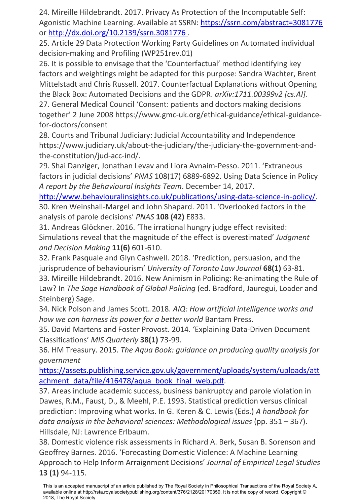24. Mireille Hildebrandt. 2017. Privacy As Protection of the Incomputable Self: Agonistic Machine Learning. Available at SSRN:<https://ssrn.com/abstract=3081776> or http://dx.doi.org/10.2139/ssrn.3081776 .

25. Article 29 Data Protection Working Party Guidelines on Automated individual decision-making and Profiling (WP251rev.01)

26. It is possible to envisage that the 'Counterfactual' method identifying key factors and weightings might be adapted for this purpose: Sandra Wachter, Brent Mittelstadt and Chris Russell. 2017. Counterfactual Explanations without Opening the Black Box: Automated Decisions and the GDPR. *arXiv:1711.00399v2 [cs.AI].* 27. General Medical Council 'Consent: patients and doctors making decisions together' 2 June 2008 https://www.gmc-uk.org/ethical-guidance/ethical-guidancefor-doctors/consent

28. Courts and Tribunal Judiciary: Judicial Accountability and Independence https://www.judiciary.uk/about-the-judiciary/the-judiciary-the-government-andthe-constitution/jud-acc-ind/.

29. Shai Danziger, Jonathan Levav and Liora Avnaim-Pesso. 2011. 'Extraneous factors in judicial decisions' *PNAS* 108(17) 6889-6892. Using Data Science in Policy *A report by the Behavioural Insights Team*. December 14, 2017.

[http://www.behaviouralinsights.co.uk/publications/using-data-science-in-policy/.](http://www.behaviouralinsights.co.uk/publications/using-data-science-in-policy/) 30. Kren Weinshall-Margel and John Shapard. 2011. 'Overlooked factors in the analysis of parole decisions' *PNAS* **108 (42)** E833.

31. Andreas Glöckner. 2016. 'The irrational hungry judge effect revisited: Simulations reveal that the magnitude of the effect is overestimated' *Judgment and Decision Making* **11(6)** 601-610.

32. Frank Pasquale and Glyn Cashwell. 2018. 'Prediction, persuasion, and the jurisprudence of behaviourism' *University of Toronto Law Journal* **68(1)** 63-81.

33. Mireille Hildebrandt. 2016. New Animism in Policing: Re-animating the Rule of Law? In *The Sage Handbook of Global Policing* (ed. Bradford, Jauregui, Loader and Steinberg) Sage.

34. Nick Polson and James Scott. 2018. *AIQ: How artificial intelligence works and how we can harness its power for a better world* Bantam Press.

35. David Martens and Foster Provost. 2014. 'Explaining Data-Driven Document Classifications' *MIS Quarterly* **38(1)** 73-99.

36. HM Treasury. 2015. *The Aqua Book: guidance on producing quality analysis for government*

[https://assets.publishing.service.gov.uk/government/uploads/system/uploads/att](https://assets.publishing.service.gov.uk/government/uploads/system/uploads/attachment_data/file/416478/aqua_book_final_web.pdf) achment data/file/416478/aqua\_book\_final\_web.pdf.

37. Areas include academic success, business bankruptcy and parole violation in Dawes, R.M., Faust, D., & Meehl, P.E. 1993. Statistical prediction versus clinical prediction: Improving what works. In G. Keren & C. Lewis (Eds.) *A handbook for data analysis in the behavioral sciences: Methodological issues* (pp. 351 – 367). Hillsdale, NJ: Lawrence Erlbaum.

38. Domestic violence risk assessments in Richard A. Berk, Susan B. Sorenson and Geoffrey Barnes. 2016. 'Forecasting Domestic Violence: A Machine Learning Approach to Help Inform Arraignment Decisions' *Journal of Empirical Legal Studies* **13 (1)** 94-115.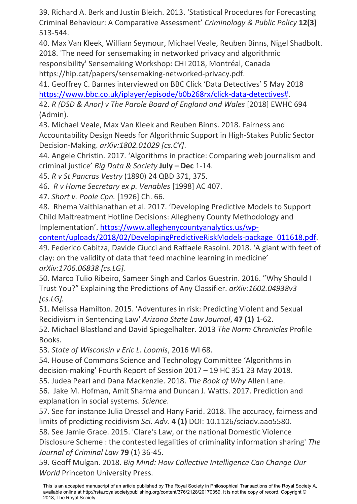39. Richard A. Berk and Justin Bleich. 2013. 'Statistical Procedures for Forecasting Criminal Behaviour: A Comparative Assessment' *Criminology & Public Policy* **12(3)** 513-544.

40. Max Van Kleek, William Seymour, Michael Veale, Reuben Binns, Nigel Shadbolt. 2018. 'The need for sensemaking in networked privacy and algorithmic responsibility' Sensemaking Workshop: CHI 2018, Montréal, Canada https://hip.cat/papers/sensemaking-networked-privacy.pdf.

41. Geoffrey C. Barnes interviewed on BBC Click 'Data Detectives' 5 May 2018 [https://www.bbc.co.uk/iplayer/episode/b0b268rx/click-data-detectives#.](https://www.bbc.co.uk/iplayer/episode/b0b268rx/click-data-detectives)

42. *R (DSD & Anor) v The Parole Board of England and Wales* [2018] EWHC 694 (Admin).

43. Michael Veale, Max Van Kleek and Reuben Binns. 2018. Fairness and Accountability Design Needs for Algorithmic Support in High-Stakes Public Sector Decision-Making. *arXiv:1802.01029 [cs.CY]*.

44. Angele Christin. 2017. 'Algorithms in practice: Comparing web journalism and criminal justice' *Big Data & Society* **July – Dec** 1-14.

45. *R v St Pancras Vestry* (1890) 24 QBD 371, 375.

46. *R v Home Secretary ex p. Venables* [1998] AC 407.

47. *Short v. Poole Cpn.* [1926] Ch. 66.

48. Rhema Vaithianathan et al. 2017. 'Developing Predictive Models to Support Child Maltreatment Hotline Decisions: Allegheny County Methodology and Implementation'. [https://www.alleghenycountyanalytics.us/wp-](https://www.alleghenycountyanalytics.us/wp-content/uploads/2018/02/DevelopingPredictiveRiskModels-package_011618.pdf)

[content/uploads/2018/02/DevelopingPredictiveRiskModels-package\\_011618.pdf.](https://www.alleghenycountyanalytics.us/wp-content/uploads/2018/02/DevelopingPredictiveRiskModels-package_011618.pdf)

49. Federico Cabitza, Davide Ciucci and Raffaele Rasoini. 2018. 'A giant with feet of clay: on the validity of data that feed machine learning in medicine' *arXiv:1706.06838 [cs.LG]*.

50. Marco Tulio Ribeiro, Sameer Singh and Carlos Guestrin. 2016. "Why Should I Trust You?" Explaining the Predictions of Any Classifier. *arXiv:1602.04938v3 [cs.LG].*

51. Melissa Hamilton. 2015. 'Adventures in risk: Predicting Violent and Sexual Recidivism in Sentencing Law' *Arizona State Law Journal*, **47 (1)** 1-62.

52. Michael Blastland and David Spiegelhalter. 2013 *The Norm Chronicles* Profile Books.

53. *State of Wisconsin v Eric L. Loomis*, 2016 WI 68.

54. House of Commons Science and Technology Committee 'Algorithms in decision-making' Fourth Report of Session 2017 – 19 HC 351 23 May 2018.

55. Judea Pearl and Dana Mackenzie. 2018. *The Book of Why* Allen Lane.

56. Jake M. Hofman, Amit Sharma and Duncan J. Watts. 2017. Prediction and explanation in social systems. *Science*.

57. See for instance Julia Dressel and Hany Farid. 2018. The accuracy, fairness and limits of predicting recidivism *Sci. Adv.* **4 (1)** DOI: 10.1126/sciadv.aao5580. 58. See Jamie Grace. 2015. 'Clare's Law, or the national Domestic Violence

Disclosure Scheme : the contested legalities of criminality information sharing' *The Journal of Criminal Law* **79** (1) 36-45.

59. Geoff Mulgan. 2018. *Big Mind: How Collective Intelligence Can Change Our World* Princeton University Press.